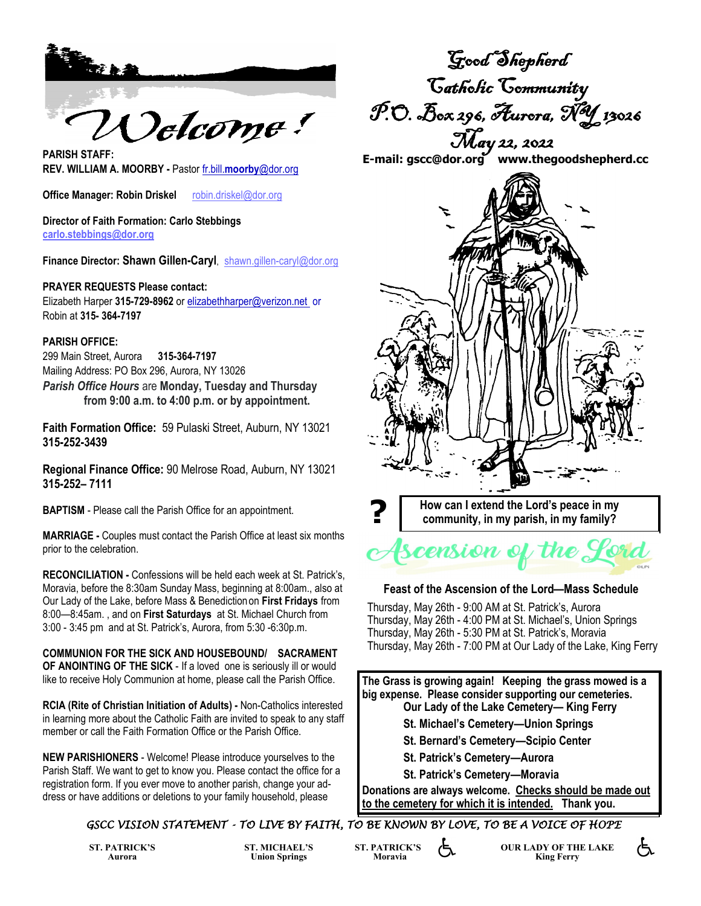

**REV. WILLIAM A. MOORBY -** Pastor fr.bill.**moorby**@dor.org

**Office Manager: Robin Driskel <br>robin.driskel@dor.org** 

**Director of Faith Formation: Carlo Stebbings carlo.stebbings@dor.org**

**Finance Director: Shawn Gillen-Caryl**, shawn.gillen-caryl@dor.org

#### **PRAYER REQUESTS Please contact:**

Elizabeth Harper **315-729-8962** or elizabethharper@verizon.net or Robin at **315- 364-7197**

#### **PARISH OFFICE:**

299 Main Street, Aurora **315-364-7197** Mailing Address: PO Box 296, Aurora, NY 13026 *Parish Office Hours* are **Monday, Tuesday and Thursday from 9:00 a.m. to 4:00 p.m. or by appointment.**

**Faith Formation Office:** 59 Pulaski Street, Auburn, NY 13021 **315-252-3439**

**Regional Finance Office:** 90 Melrose Road, Auburn, NY 13021 **315-252– 7111**

**BAPTISM** - Please call the Parish Office for an appointment.

**MARRIAGE -** Couples must contact the Parish Office at least six months prior to the celebration.

**RECONCILIATION -** Confessions will be held each week at St. Patrick's, Moravia, before the 8:30am Sunday Mass, beginning at 8:00am., also at Our Lady of the Lake, before Mass & Benediction on **First Fridays** from 8:00—8:45am. , and on **First Saturdays** at St. Michael Church from 3:00 - 3:45 pm and at St. Patrick's, Aurora, from 5:30 -6:30p.m.

**COMMUNION FOR THE SICK AND HOUSEBOUND/ SACRAMENT OF ANOINTING OF THE SICK** - If a loved one is seriously ill or would like to receive Holy Communion at home, please call the Parish Office.

**RCIA (Rite of Christian Initiation of Adults) -** Non-Catholics interested in learning more about the Catholic Faith are invited to speak to any staff member or call the Faith Formation Office or the Parish Office.

**NEW PARISHIONERS** - Welcome! Please introduce yourselves to the Parish Staff. We want to get to know you. Please contact the office for a registration form. If you ever move to another parish, change your address or have additions or deletions to your family household, please

Good Shepherd Catholic Community P.O. Box 296, Aurora, NY 13026 May 22, 2022

**E-mail: gscc@dor.org www.thegoodshepherd.cc PARISH STAFF:**



**community, in my parish, in my family?**

# cension of the Lori

#### **Feast of the Ascension of the Lord—Mass Schedule**

 Thursday, May 26th - 9:00 AM at St. Patrick's, Aurora Thursday, May 26th - 4:00 PM at St. Michael's, Union Springs Thursday, May 26th - 5:30 PM at St. Patrick's, Moravia Thursday, May 26th - 7:00 PM at Our Lady of the Lake, King Ferry

**The Grass is growing again! Keeping the grass mowed is a big expense. Please consider supporting our cemeteries. Our Lady of the Lake Cemetery— King Ferry** 

- **St. Michael's Cemetery—Union Springs**
- **St. Bernard's Cemetery—Scipio Center**
- **St. Patrick's Cemetery—Aurora**
- **St. Patrick's Cemetery—Moravia**

**Donations are always welcome. Checks should be made out to the cemetery for which it is intended. Thank you.** 

#### *GSCC VISION STATEMENT - TO LIVE BY FAITH, TO BE KNOWN BY LOVE, TO BE A VOICE OF HOPE*

**ST. PATRICK'S Aurora**

**ST. MICHAEL'S Union Springs**



**OUR LADY OF THE LAKE King Ferry** 

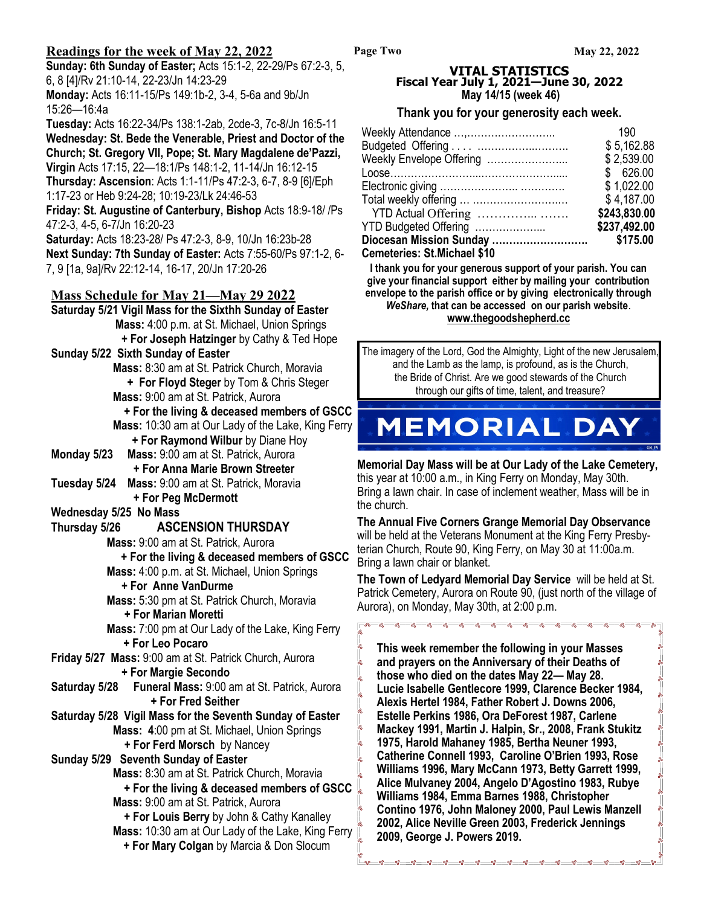#### **Readings for the week of May 22, 2022**

**Page Two**

**Sunday: 6th Sunday of Easter;** Acts 15:1-2, 22-29/Ps 67:2-3, 5, 6, 8 [4]/Rv 21:10-14, 22-23/Jn 14:23-29 **Monday:** Acts 16:11-15/Ps 149:1b-2, 3-4, 5-6a and 9b/Jn 15:26—16:4a

**Tuesday:** Acts 16:22-34/Ps 138:1-2ab, 2cde-3, 7c-8/Jn 16:5-11 **Wednesday: St. Bede the Venerable, Priest and Doctor of the Church; St. Gregory VII, Pope; St. Mary Magdalene de'Pazzi, Virgin** Acts 17:15, 22—18:1/Ps 148:1-2, 11-14/Jn 16:12-15 **Thursday: Ascension**: Acts 1:1-11/Ps 47:2-3, 6-7, 8-9 [6]/Eph 1:17-23 or Heb 9:24-28; 10:19-23/Lk 24:46-53 **Friday: St. Augustine of Canterbury, Bishop** Acts 18:9-18/ /Ps

47:2-3, 4-5, 6-7/Jn 16:20-23

**Saturday:** Acts 18:23-28/ Ps 47:2-3, 8-9, 10/Jn 16:23b-28 **Next Sunday: 7th Sunday of Easter:** Acts 7:55-60/Ps 97:1-2, 6- 7, 9 [1a, 9a]/Rv 22:12-14, 16-17, 20/Jn 17:20-26

#### **Mass Schedule for May 21—May 29 2022**

**Saturday 5/21 Vigil Mass for the Sixthh Sunday of Easter Mass:** 4:00 p.m. at St. Michael, Union Springs **+ For Joseph Hatzinger** by Cathy & Ted Hope **Sunday 5/22 Sixth Sunday of Easter Mass:** 8:30 am at St. Patrick Church, Moravia **+ For Floyd Steger** by Tom & Chris Steger **Mass:** 9:00 am at St. Patrick, Aurora **+ For the living & deceased members of GSCC Mass:** 10:30 am at Our Lady of the Lake, King Ferry **+ For Raymond Wilbur** by Diane Hoy **Monday 5/23 Mass:** 9:00 am at St. Patrick, Aurora **+ For Anna Marie Brown Streeter Tuesday 5/24 Mass:** 9:00 am at St. Patrick, Moravia **+ For Peg McDermott Wednesday 5/25 No Mass Thursday 5/26 ASCENSION THURSDAY Mass:** 9:00 am at St. Patrick, Aurora **+ For the living & deceased members of GSCC Mass:** 4:00 p.m. at St. Michael, Union Springs **+ For Anne VanDurme Mass:** 5:30 pm at St. Patrick Church, Moravia **+ For Marian Moretti Mass:** 7:00 pm at Our Lady of the Lake, King Ferry **+ For Leo Pocaro Friday 5/27 Mass:** 9:00 am at St. Patrick Church, Aurora **+ For Margie Secondo Saturday 5/28 Funeral Mass:** 9:00 am at St. Patrick, Aurora **+ For Fred Seither Saturday 5/28 Vigil Mass for the Seventh Sunday of Easter Mass: 4**:00 pm at St. Michael, Union Springs **+ For Ferd Morsch** by Nancey **Sunday 5/29 Seventh Sunday of Easter Mass:** 8:30 am at St. Patrick Church, Moravia **+ For the living & deceased members of GSCC Mass:** 9:00 am at St. Patrick, Aurora **+ For Louis Berry** by John & Cathy Kanalley  **Mass:** 10:30 am at Our Lady of the Lake, King Ferry **+ For Mary Colgan** by Marcia & Don Slocum

#### **VITAL STATISTICS Fiscal Year July 1, 2021—June 30, 2022 May 14/15 (week 46)**

#### **Thank you for your generosity each week.**

| Weekly Attendance ,                | 190          |
|------------------------------------|--------------|
| Budgeted Offering                  | \$5,162.88   |
| Weekly Envelope Offering           | \$2,539.00   |
|                                    | \$626.00     |
|                                    | \$1,022.00   |
| Total weekly offering              | \$4,187.00   |
|                                    | \$243,830.00 |
| YTD Budgeted Offering              | \$237,492.00 |
|                                    |              |
| <b>Cemeteries: St.Michael \$10</b> |              |

**I thank you for your generous support of your parish. You can give your financial support either by mailing your contribution envelope to the parish office or by giving electronically through**  *WeShare,* **that can be accessed on our parish website**. **www.thegoodshepherd.cc**

The imagery of the Lord, God the Almighty, Light of the new Jerusalem, and the Lamb as the lamp, is profound, as is the Church, the Bride of Christ. Are we good stewards of the Church through our gifts of time, talent, and treasure?

## **MEMORIAL DAY**

**Memorial Day Mass will be at Our Lady of the Lake Cemetery,**  this year at 10:00 a.m., in King Ferry on Monday, May 30th. Bring a lawn chair. In case of inclement weather, Mass will be in the church.

**The Annual Five Corners Grange Memorial Day Observance**  will be held at the Veterans Monument at the King Ferry Presbyterian Church, Route 90, King Ferry, on May 30 at 11:00a.m. Bring a lawn chair or blanket.

**The Town of Ledyard Memorial Day Service** will be held at St. Patrick Cemetery, Aurora on Route 90, (just north of the village of Aurora), on Monday, May 30th, at 2:00 p.m.

<u>. . . . . .</u>

**This week remember the following in your Masses and prayers on the Anniversary of their Deaths of those who died on the dates May 22— May 28. Lucie Isabelle Gentlecore 1999, Clarence Becker 1984, Alexis Hertel 1984, Father Robert J. Downs 2006, Estelle Perkins 1986, Ora DeForest 1987, Carlene Mackey 1991, Martin J. Halpin, Sr., 2008, Frank Stukitz 1975, Harold Mahaney 1985, Bertha Neuner 1993, Catherine Connell 1993, Caroline O'Brien 1993, Rose Williams 1996, Mary McCann 1973, Betty Garrett 1999, Alice Mulvaney 2004, Angelo D'Agostino 1983, Rubye Williams 1984, Emma Barnes 1988, Christopher Contino 1976, John Maloney 2000, Paul Lewis Manzell 2002, Alice Neville Green 2003, Frederick Jennings 2009, George J. Powers 2019.**